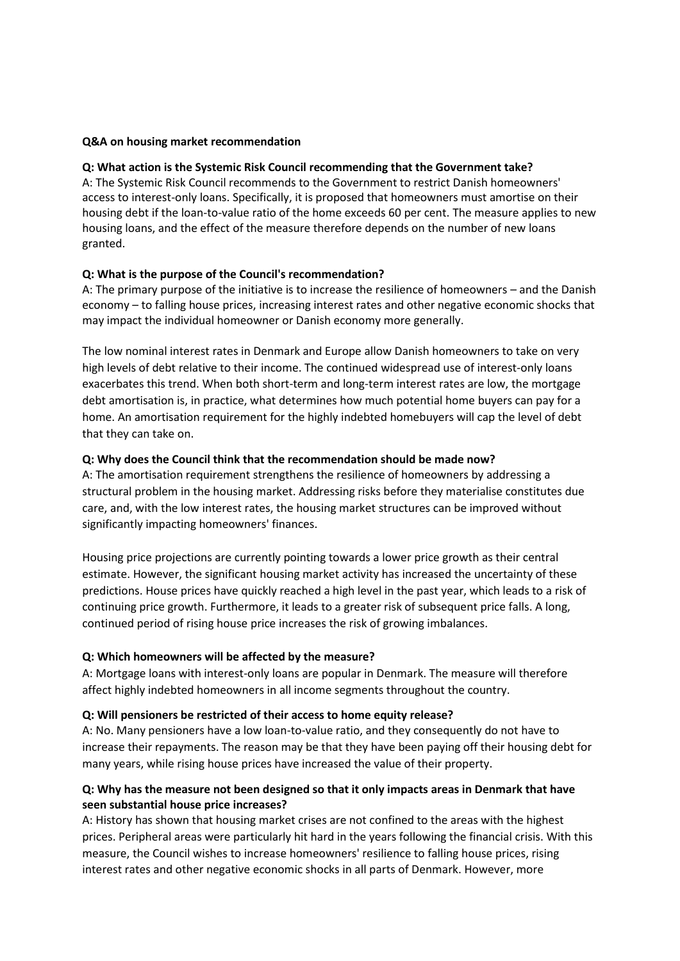### **Q&A on housing market recommendation**

### **Q: What action is the Systemic Risk Council recommending that the Government take?**

A: The Systemic Risk Council recommends to the Government to restrict Danish homeowners' access to interest-only loans. Specifically, it is proposed that homeowners must amortise on their housing debt if the loan-to-value ratio of the home exceeds 60 per cent. The measure applies to new housing loans, and the effect of the measure therefore depends on the number of new loans granted.

### **Q: What is the purpose of the Council's recommendation?**

A: The primary purpose of the initiative is to increase the resilience of homeowners – and the Danish economy – to falling house prices, increasing interest rates and other negative economic shocks that may impact the individual homeowner or Danish economy more generally.

The low nominal interest rates in Denmark and Europe allow Danish homeowners to take on very high levels of debt relative to their income. The continued widespread use of interest-only loans exacerbates this trend. When both short-term and long-term interest rates are low, the mortgage debt amortisation is, in practice, what determines how much potential home buyers can pay for a home. An amortisation requirement for the highly indebted homebuyers will cap the level of debt that they can take on.

### **Q: Why does the Council think that the recommendation should be made now?**

A: The amortisation requirement strengthens the resilience of homeowners by addressing a structural problem in the housing market. Addressing risks before they materialise constitutes due care, and, with the low interest rates, the housing market structures can be improved without significantly impacting homeowners' finances.

Housing price projections are currently pointing towards a lower price growth as their central estimate. However, the significant housing market activity has increased the uncertainty of these predictions. House prices have quickly reached a high level in the past year, which leads to a risk of continuing price growth. Furthermore, it leads to a greater risk of subsequent price falls. A long, continued period of rising house price increases the risk of growing imbalances.

#### **Q: Which homeowners will be affected by the measure?**

A: Mortgage loans with interest-only loans are popular in Denmark. The measure will therefore affect highly indebted homeowners in all income segments throughout the country.

#### **Q: Will pensioners be restricted of their access to home equity release?**

A: No. Many pensioners have a low loan-to-value ratio, and they consequently do not have to increase their repayments. The reason may be that they have been paying off their housing debt for many years, while rising house prices have increased the value of their property.

## **Q: Why has the measure not been designed so that it only impacts areas in Denmark that have seen substantial house price increases?**

A: History has shown that housing market crises are not confined to the areas with the highest prices. Peripheral areas were particularly hit hard in the years following the financial crisis. With this measure, the Council wishes to increase homeowners' resilience to falling house prices, rising interest rates and other negative economic shocks in all parts of Denmark. However, more